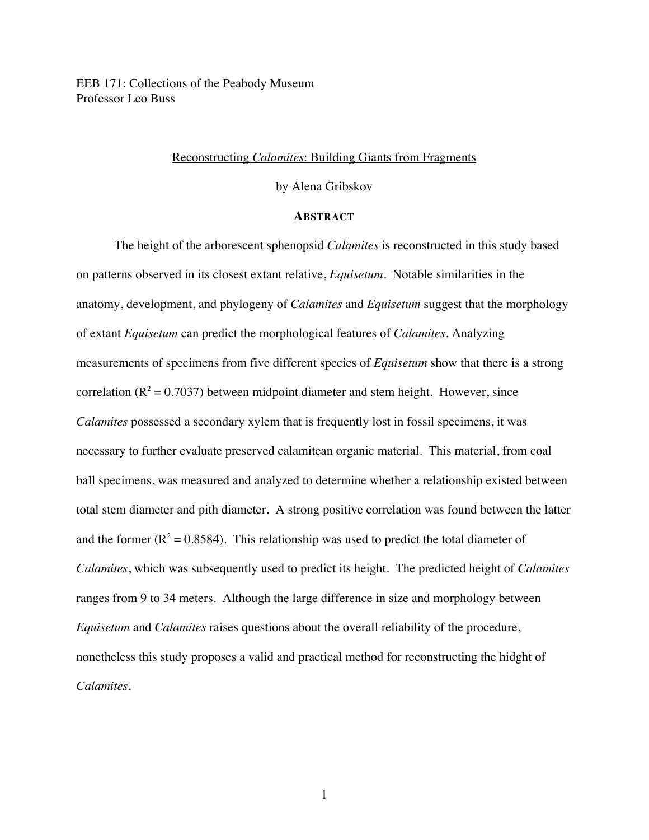EEB 171: Collections of the Peabody Museum Professor Leo Buss

## Reconstructing *Calamites*: Building Giants from Fragments

# by Alena Gribskov

# **ABSTRACT**

The height of the arborescent sphenopsid *Calamites* is reconstructed in this study based on patterns observed in its closest extant relative, *Equisetum.* Notable similarities in the anatomy, development, and phylogeny of *Calamites* and *Equisetum* suggest that the morphology of extant *Equisetum* can predict the morphological features of *Calamites*. Analyzing measurements of specimens from five different species of *Equisetum* show that there is a strong correlation ( $R^2 = 0.7037$ ) between midpoint diameter and stem height. However, since *Calamites* possessed a secondary xylem that is frequently lost in fossil specimens, it was necessary to further evaluate preserved calamitean organic material. This material, from coal ball specimens, was measured and analyzed to determine whether a relationship existed between total stem diameter and pith diameter. A strong positive correlation was found between the latter and the former ( $R^2 = 0.8584$ ). This relationship was used to predict the total diameter of *Calamites*, which was subsequently used to predict its height. The predicted height of *Calamites* ranges from 9 to 34 meters. Although the large difference in size and morphology between *Equisetum* and *Calamites* raises questions about the overall reliability of the procedure, nonetheless this study proposes a valid and practical method for reconstructing the hidght of *Calamites.*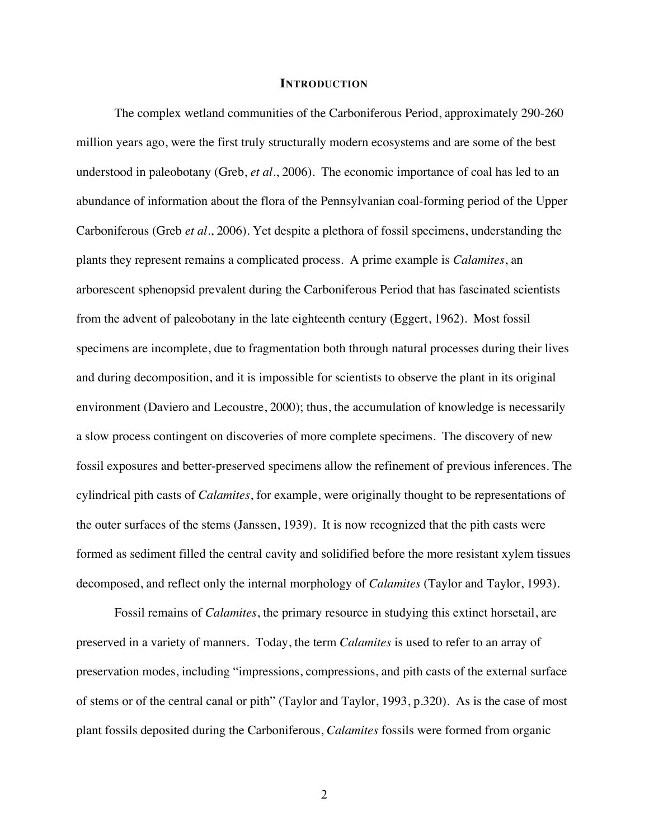#### **INTRODUCTION**

The complex wetland communities of the Carboniferous Period, approximately 290-260 million years ago, were the first truly structurally modern ecosystems and are some of the best understood in paleobotany (Greb, *et al.*, 2006). The economic importance of coal has led to an abundance of information about the flora of the Pennsylvanian coal-forming period of the Upper Carboniferous (Greb *et al.*, 2006). Yet despite a plethora of fossil specimens, understanding the plants they represent remains a complicated process. A prime example is *Calamites*, an arborescent sphenopsid prevalent during the Carboniferous Period that has fascinated scientists from the advent of paleobotany in the late eighteenth century (Eggert, 1962). Most fossil specimens are incomplete, due to fragmentation both through natural processes during their lives and during decomposition, and it is impossible for scientists to observe the plant in its original environment (Daviero and Lecoustre, 2000); thus, the accumulation of knowledge is necessarily a slow process contingent on discoveries of more complete specimens. The discovery of new fossil exposures and better-preserved specimens allow the refinement of previous inferences. The cylindrical pith casts of *Calamites*, for example, were originally thought to be representations of the outer surfaces of the stems (Janssen, 1939). It is now recognized that the pith casts were formed as sediment filled the central cavity and solidified before the more resistant xylem tissues decomposed, and reflect only the internal morphology of *Calamites* (Taylor and Taylor, 1993).

Fossil remains of *Calamites*, the primary resource in studying this extinct horsetail, are preserved in a variety of manners. Today, the term *Calamites* is used to refer to an array of preservation modes, including "impressions, compressions, and pith casts of the external surface of stems or of the central canal or pith" (Taylor and Taylor, 1993, p.320). As is the case of most plant fossils deposited during the Carboniferous, *Calamites* fossils were formed from organic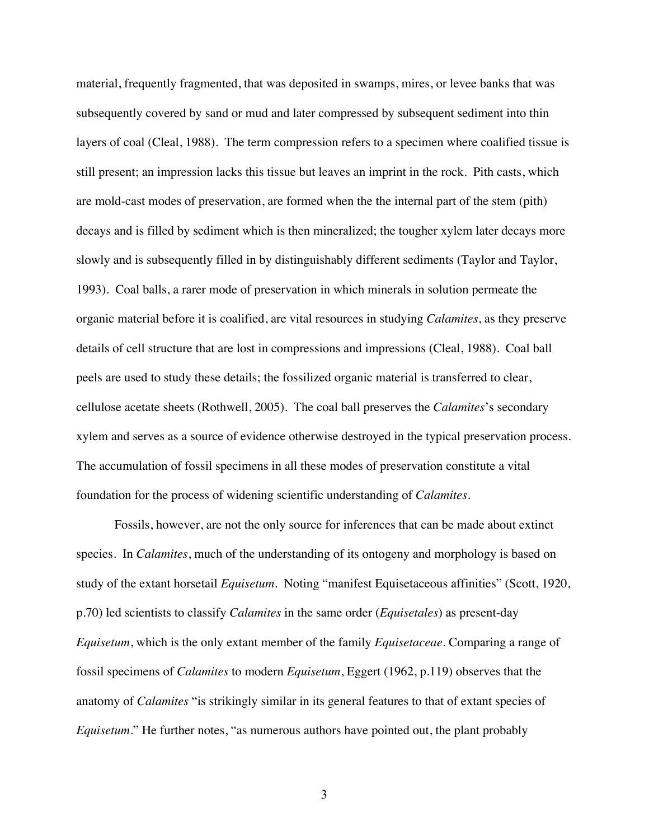material, frequently fragmented, that was deposited in swamps, mires, or levee banks that was subsequently covered by sand or mud and later compressed by subsequent sediment into thin layers of coal (Cleal, 1988). The term compression refers to a specimen where coalified tissue is still present; an impression lacks this tissue but leaves an imprint in the rock. Pith casts, which are mold-cast modes of preservation, are formed when the the internal part of the stem (pith) decays and is filled by sediment which is then mineralized; the tougher xylem later decays more slowly and is subsequently filled in by distinguishably different sediments (Taylor and Taylor, 1993). Coal balls, a rarer mode of preservation in which minerals in solution permeate the organic material before it is coalified, are vital resources in studying *Calamites*, as they preserve details of cell structure that are lost in compressions and impressions (Cleal, 1988). Coal ball peels are used to study these details; the fossilized organic material is transferred to clear, cellulose acetate sheets (Rothwell, 2005). The coal ball preserves the *Calamites*'s secondary xylem and serves as a source of evidence otherwise destroyed in the typical preservation process. The accumulation of fossil specimens in all these modes of preservation constitute a vital foundation for the process of widening scientific understanding of *Calamites*.

Fossils, however, are not the only source for inferences that can be made about extinct species. In *Calamites*, much of the understanding of its ontogeny and morphology is based on study of the extant horsetail *Equisetum*. Noting "manifest Equisetaceous affinities" (Scott, 1920, p.70) led scientists to classify *Calamites* in the same order (*Equisetales*) as present-day *Equisetum*, which is the only extant member of the family *Equisetaceae*. Comparing a range of fossil specimens of *Calamites* to modern *Equisetum*, Eggert (1962, p.119) observes that the anatomy of *Calamites* "is strikingly similar in its general features to that of extant species of *Equisetum*." He further notes, "as numerous authors have pointed out, the plant probably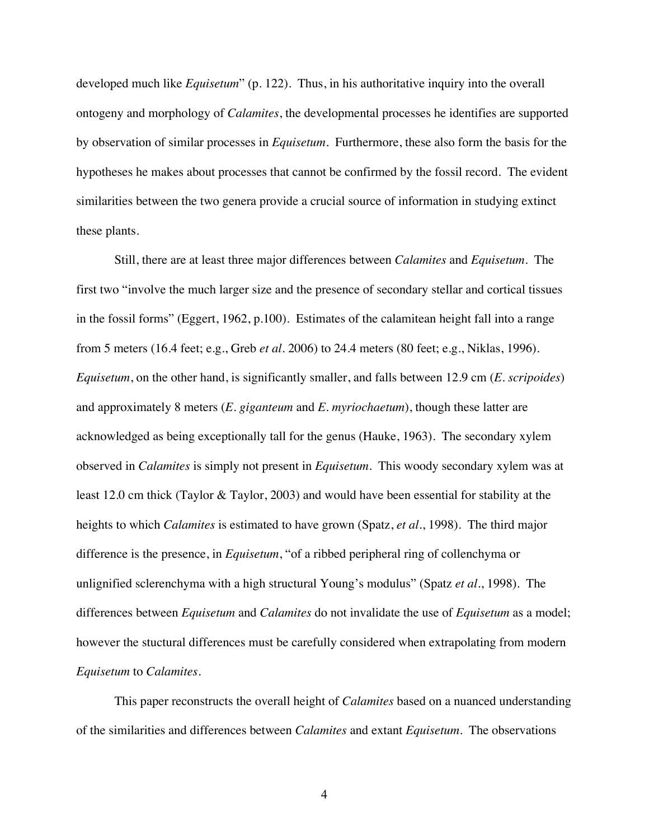developed much like *Equisetum*" (p. 122). Thus, in his authoritative inquiry into the overall ontogeny and morphology of *Calamites*, the developmental processes he identifies are supported by observation of similar processes in *Equisetum.* Furthermore, these also form the basis for the hypotheses he makes about processes that cannot be confirmed by the fossil record. The evident similarities between the two genera provide a crucial source of information in studying extinct these plants.

Still, there are at least three major differences between *Calamites* and *Equisetum*. The first two "involve the much larger size and the presence of secondary stellar and cortical tissues in the fossil forms" (Eggert, 1962, p.100). Estimates of the calamitean height fall into a range from 5 meters (16.4 feet; e.g., Greb *et al.* 2006) to 24.4 meters (80 feet; e.g., Niklas, 1996). *Equisetum*, on the other hand, is significantly smaller, and falls between 12.9 cm (*E. scripoides*) and approximately 8 meters (*E. giganteum* and *E. myriochaetum*), though these latter are acknowledged as being exceptionally tall for the genus (Hauke, 1963). The secondary xylem observed in *Calamites* is simply not present in *Equisetum*. This woody secondary xylem was at least 12.0 cm thick (Taylor & Taylor, 2003) and would have been essential for stability at the heights to which *Calamites* is estimated to have grown (Spatz, *et al.*, 1998). The third major difference is the presence, in *Equisetum*, "of a ribbed peripheral ring of collenchyma or unlignified sclerenchyma with a high structural Young's modulus" (Spatz *et al.*, 1998). The differences between *Equisetum* and *Calamites* do not invalidate the use of *Equisetum* as a model; however the stuctural differences must be carefully considered when extrapolating from modern *Equisetum* to *Calamites*.

This paper reconstructs the overall height of *Calamites* based on a nuanced understanding of the similarities and differences between *Calamites* and extant *Equisetum*. The observations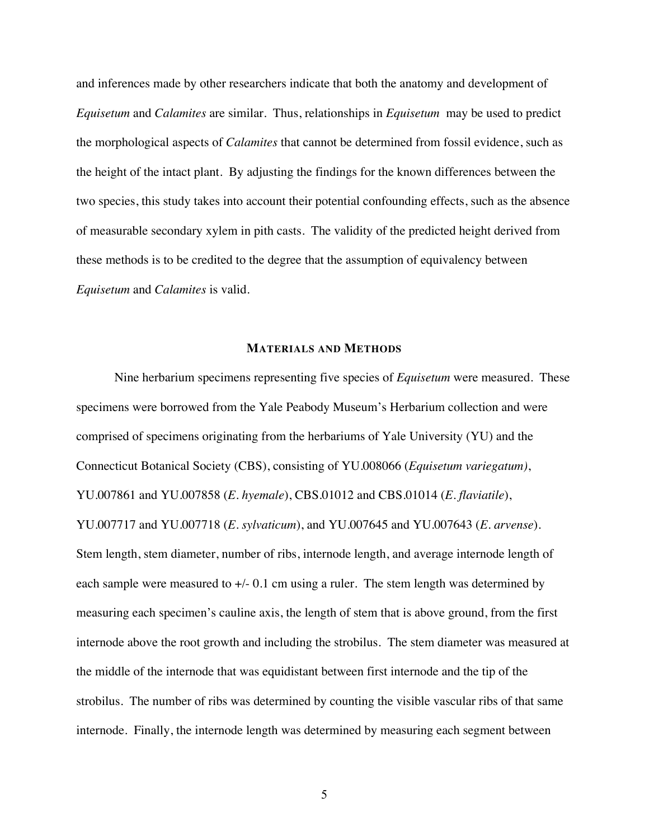and inferences made by other researchers indicate that both the anatomy and development of *Equisetum* and *Calamites* are similar*.* Thus, relationships in *Equisetum* may be used to predict the morphological aspects of *Calamites* that cannot be determined from fossil evidence, such as the height of the intact plant. By adjusting the findings for the known differences between the two species, this study takes into account their potential confounding effects, such as the absence of measurable secondary xylem in pith casts. The validity of the predicted height derived from these methods is to be credited to the degree that the assumption of equivalency between *Equisetum* and *Calamites* is valid.

## **MATERIALS AND METHODS**

Nine herbarium specimens representing five species of *Equisetum* were measured. These specimens were borrowed from the Yale Peabody Museum's Herbarium collection and were comprised of specimens originating from the herbariums of Yale University (YU) and the Connecticut Botanical Society (CBS), consisting of YU.008066 (*Equisetum variegatum)*, YU.007861 and YU.007858 (*E. hyemale*), CBS.01012 and CBS.01014 (*E. flaviatile*), YU.007717 and YU.007718 (*E. sylvaticum*), and YU.007645 and YU.007643 (*E. arvense*). Stem length, stem diameter, number of ribs, internode length, and average internode length of each sample were measured to  $+/-0.1$  cm using a ruler. The stem length was determined by measuring each specimen's cauline axis, the length of stem that is above ground, from the first internode above the root growth and including the strobilus. The stem diameter was measured at the middle of the internode that was equidistant between first internode and the tip of the strobilus. The number of ribs was determined by counting the visible vascular ribs of that same internode. Finally, the internode length was determined by measuring each segment between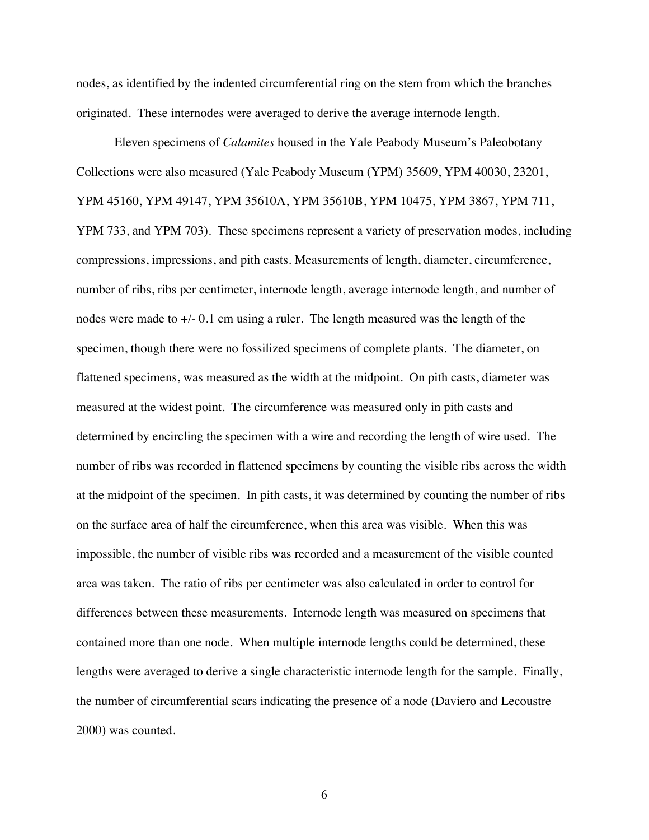nodes, as identified by the indented circumferential ring on the stem from which the branches originated. These internodes were averaged to derive the average internode length.

Eleven specimens of *Calamites* housed in the Yale Peabody Museum's Paleobotany Collections were also measured (Yale Peabody Museum (YPM) 35609, YPM 40030, 23201, YPM 45160, YPM 49147, YPM 35610A, YPM 35610B, YPM 10475, YPM 3867, YPM 711, YPM 733, and YPM 703). These specimens represent a variety of preservation modes, including compressions, impressions, and pith casts. Measurements of length, diameter, circumference, number of ribs, ribs per centimeter, internode length, average internode length, and number of nodes were made to +/- 0.1 cm using a ruler. The length measured was the length of the specimen, though there were no fossilized specimens of complete plants. The diameter, on flattened specimens, was measured as the width at the midpoint. On pith casts, diameter was measured at the widest point. The circumference was measured only in pith casts and determined by encircling the specimen with a wire and recording the length of wire used. The number of ribs was recorded in flattened specimens by counting the visible ribs across the width at the midpoint of the specimen. In pith casts, it was determined by counting the number of ribs on the surface area of half the circumference, when this area was visible. When this was impossible, the number of visible ribs was recorded and a measurement of the visible counted area was taken. The ratio of ribs per centimeter was also calculated in order to control for differences between these measurements. Internode length was measured on specimens that contained more than one node. When multiple internode lengths could be determined, these lengths were averaged to derive a single characteristic internode length for the sample. Finally, the number of circumferential scars indicating the presence of a node (Daviero and Lecoustre 2000) was counted.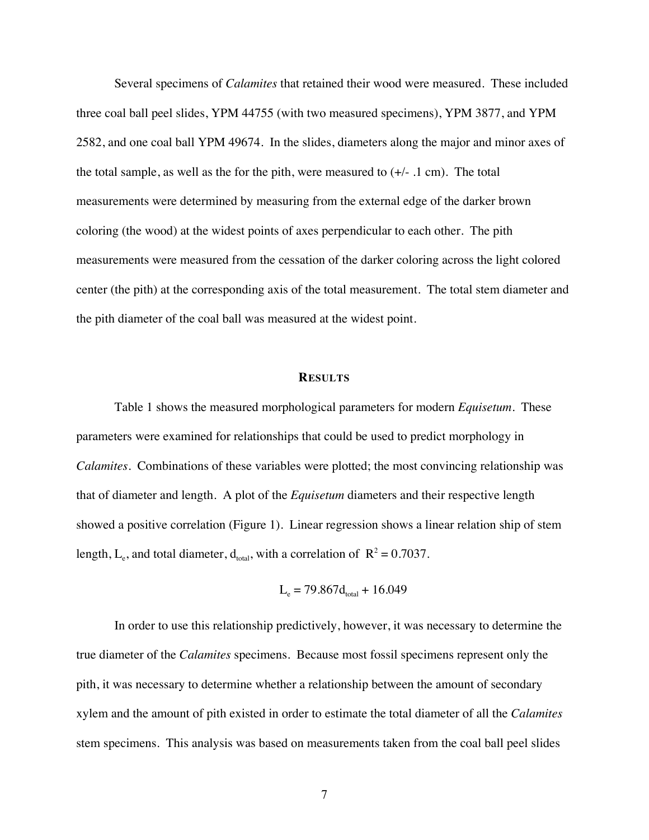Several specimens of *Calamites* that retained their wood were measured. These included three coal ball peel slides, YPM 44755 (with two measured specimens), YPM 3877, and YPM 2582, and one coal ball YPM 49674. In the slides, diameters along the major and minor axes of the total sample, as well as the for the pith, were measured to  $(+/- 1 \text{ cm})$ . The total measurements were determined by measuring from the external edge of the darker brown coloring (the wood) at the widest points of axes perpendicular to each other. The pith measurements were measured from the cessation of the darker coloring across the light colored center (the pith) at the corresponding axis of the total measurement. The total stem diameter and the pith diameter of the coal ball was measured at the widest point.

#### **RESULTS**

Table 1 shows the measured morphological parameters for modern *Equisetum.* These parameters were examined for relationships that could be used to predict morphology in *Calamites*. Combinations of these variables were plotted; the most convincing relationship was that of diameter and length. A plot of the *Equisetum* diameters and their respective length showed a positive correlation (Figure 1). Linear regression shows a linear relation ship of stem length, L<sub>e</sub>, and total diameter,  $d_{total}$ , with a correlation of  $R^2 = 0.7037$ .

$$
L_e = 79.867d_{\text{total}} + 16.049
$$

In order to use this relationship predictively, however, it was necessary to determine the true diameter of the *Calamites* specimens. Because most fossil specimens represent only the pith, it was necessary to determine whether a relationship between the amount of secondary xylem and the amount of pith existed in order to estimate the total diameter of all the *Calamites*  stem specimens. This analysis was based on measurements taken from the coal ball peel slides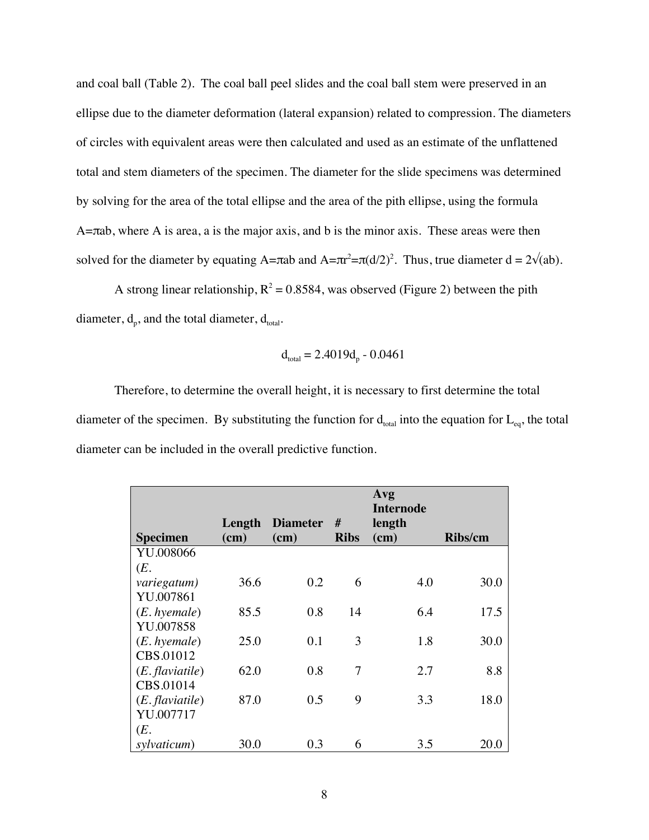and coal ball (Table 2). The coal ball peel slides and the coal ball stem were preserved in an ellipse due to the diameter deformation (lateral expansion) related to compression. The diameters of circles with equivalent areas were then calculated and used as an estimate of the unflattened total and stem diameters of the specimen. The diameter for the slide specimens was determined by solving for the area of the total ellipse and the area of the pith ellipse, using the formula A=πab, where A is area, a is the major axis, and b is the minor axis. These areas were then solved for the diameter by equating A=πab and A= $\pi r^2 = \pi (d/2)^2$ . Thus, true diameter d = 2 $\sqrt{(ab)}$ .

A strong linear relationship,  $R^2 = 0.8584$ , was observed (Figure 2) between the pith diameter,  $d_p$ , and the total diameter,  $d_{total}$ .

$$
d_{\text{total}} = 2.4019d_p - 0.0461
$$

Therefore, to determine the overall height, it is necessary to first determine the total diameter of the specimen. By substituting the function for  $d_{total}$  into the equation for  $L_{eq}$ , the total diameter can be included in the overall predictive function.

|                   |        |                 |               | Avg<br><b>Internode</b> |         |
|-------------------|--------|-----------------|---------------|-------------------------|---------|
|                   | Length | <b>Diameter</b> | #             | length                  |         |
| <b>Specimen</b>   | (cm)   | $(cm)$          | <b>Ribs</b>   | (cm)                    | Ribs/cm |
| YU.008066         |        |                 |               |                         |         |
| (E.               |        |                 |               |                         |         |
| variegatum)       | 36.6   | 0.2             | 6             | 4.0                     | 30.0    |
| YU.007861         |        |                 |               |                         |         |
| $(E. h$ yemale)   | 85.5   | 0.8             | 14            | 6.4                     | 17.5    |
| YU.007858         |        |                 |               |                         |         |
| $(E. h$ yemale)   | 25.0   | 0.1             | $\mathcal{E}$ | 1.8                     | 30.0    |
| CBS.01012         |        |                 |               |                         |         |
| $(E.$ flaviatile) | 62.0   | 0.8             | 7             | 2.7                     | 8.8     |
| CBS.01014         |        |                 |               |                         |         |
| $(E.$ flaviatile) | 87.0   | 0.5             | 9             | 3.3                     | 18.0    |
| YU.007717         |        |                 |               |                         |         |
| (E.               |        |                 |               |                         |         |
| sylvaticum)       | 30.0   | 0.3             | 6             | 3.5                     | 20.0    |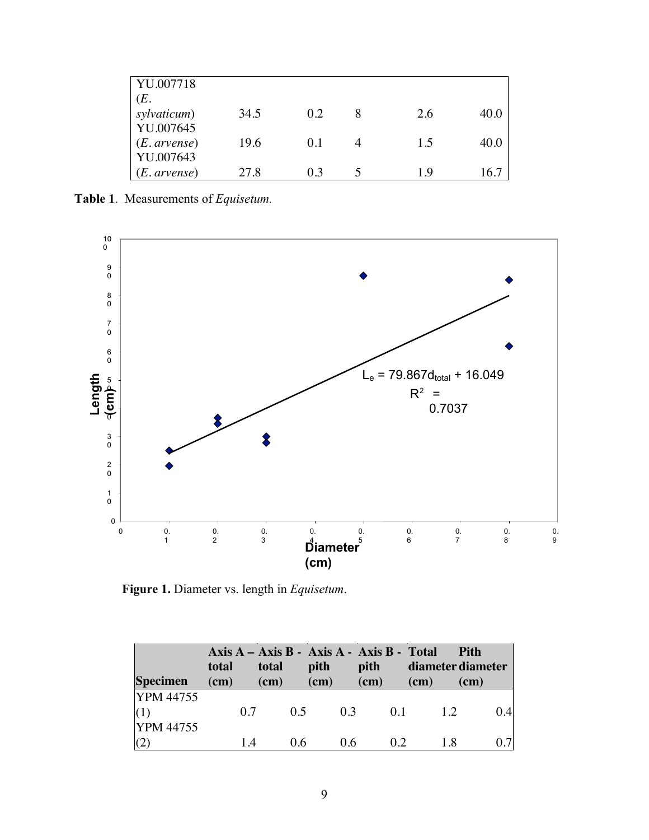| YU.007718             |      |     |     |      |
|-----------------------|------|-----|-----|------|
| (E.                   |      |     |     |      |
| sylvaticum)           | 34.5 | 0.2 | 2.6 | 40.0 |
| YU.007645             |      |     |     |      |
| ( <i>E. arvense</i> ) | 19.6 | 0.1 | 1.5 | 40.0 |
| YU.007643             |      |     |     |      |
| (E. arvense)          | 27.8 | 03  | 19  | 16.7 |

**Table 1**. Measurements of *Equisetum.*



**Figure 1.** Diameter vs. length in *Equisetum*.

| <b>Specimen</b>                      | total<br>(cm) | Axis A – Axis B - Axis A - Axis B - Total<br>total<br>(cm) | pith<br>$(cm)$ | pith<br>(cm) | diameter diameter<br>$cm$ ) | <b>Pith</b><br>(cm) |
|--------------------------------------|---------------|------------------------------------------------------------|----------------|--------------|-----------------------------|---------------------|
| <b>YPM</b> 44755<br><b>YPM</b> 44755 | 0.7           | 0.5                                                        | 0.3            | 0.1          | 1.2                         | 0.4                 |
|                                      | 14            | 0.6                                                        | 0.6            | 02           | 18                          | 0.7                 |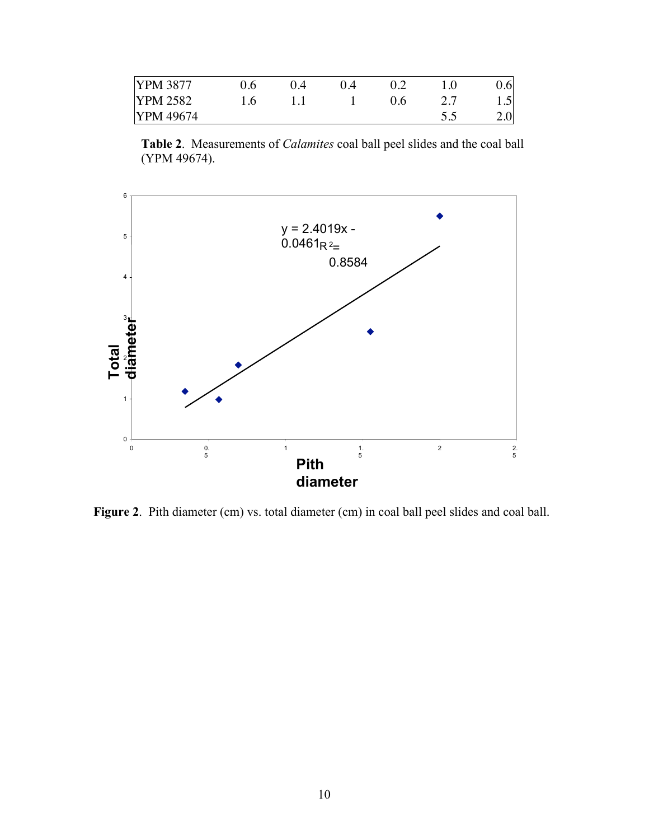| <b>YPM 3877</b>  | ገ 4 |     |      | 0.6 <sub>l</sub> |
|------------------|-----|-----|------|------------------|
| <b>YPM 2582</b>  |     | ገ 6 | ، ،  | $1.5^{\circ}$    |
| <b>PPM</b> 49674 |     |     | ر. ر | 2.0              |

**Table 2**. Measurements of *Calamites* coal ball peel slides and the coal ball (YPM 49674).



Figure 2. Pith diameter (cm) vs. total diameter (cm) in coal ball peel slides and coal ball.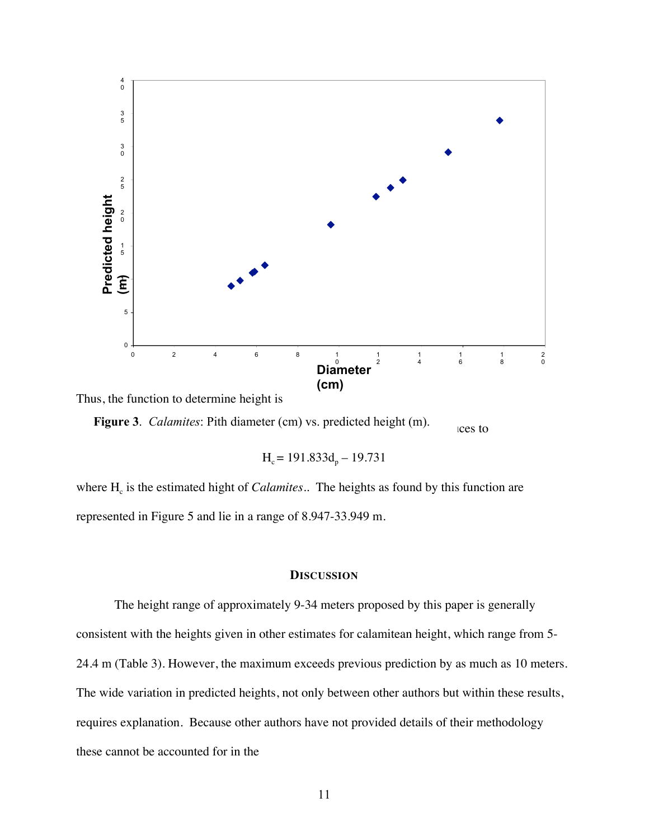

Thus, the function to determine height is

**Figure 3**. *Calamites*: Pith diameter (cm) vs. predicted height (m). ces to

 $H<sub>c</sub> = 191.833d<sub>n</sub> - 19.731$ 

where  $H_c$  is the estimated hight of *Calamites*.. The heights as found by this function are represented in Figure 5 and lie in a range of 8.947-33.949 m.

### **DISCUSSION**

The height range of approximately 9-34 meters proposed by this paper is generally consistent with the heights given in other estimates for calamitean height, which range from 5- 24.4 m (Table 3). However, the maximum exceeds previous prediction by as much as 10 meters. The wide variation in predicted heights, not only between other authors but within these results, requires explanation. Because other authors have not provided details of their methodology these cannot be accounted for in the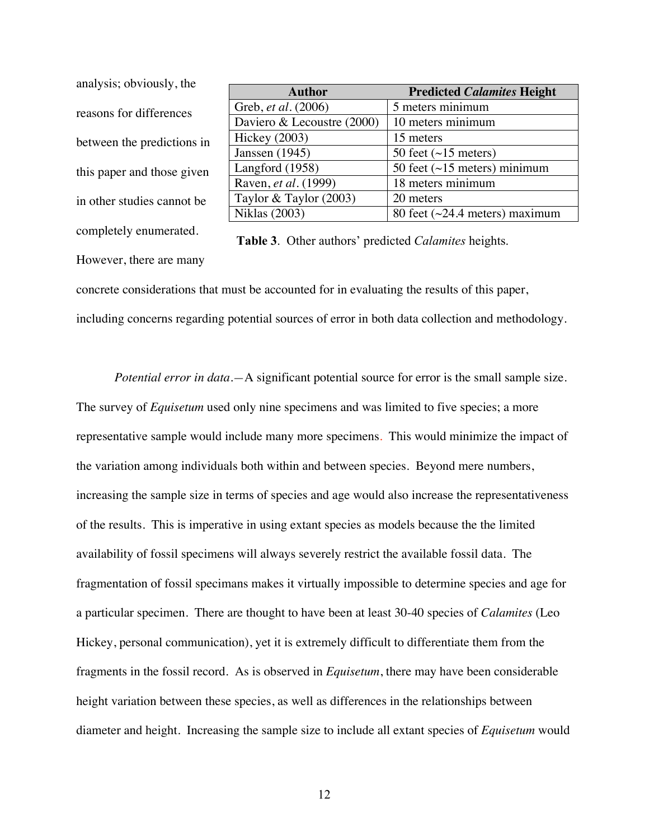| analysis; obviously, the   |     |
|----------------------------|-----|
| reasons for differences    | Gre |
|                            | Da  |
| between the predictions in | Hic |
|                            | Jan |
| this paper and those given | Lai |
|                            | Ra  |
| in other studies cannot be | Tay |
|                            | Nil |
| completely enumerated.     | Tа  |

| <b>Author</b>              | <b>Predicted Calamites Height</b>    |
|----------------------------|--------------------------------------|
| Greb, <i>et al.</i> (2006) | 5 meters minimum                     |
| Daviero & Lecoustre (2000) | 10 meters minimum                    |
| Hickey $(2003)$            | 15 meters                            |
| Janssen (1945)             | 50 feet $(\sim 15$ meters)           |
| Langford (1958)            | 50 feet $(\sim 15$ meters) minimum   |
| Raven, et al. (1999)       | 18 meters minimum                    |
| Taylor & Taylor $(2003)$   | 20 meters                            |
| <b>Niklas</b> (2003)       | 80 feet $(\sim 24.4$ meters) maximum |

**Table 3**. Other authors' predicted *Calamites* heights.

However, there are many

concrete considerations that must be accounted for in evaluating the results of this paper, including concerns regarding potential sources of error in both data collection and methodology.

*Potential error in data.*—A significant potential source for error is the small sample size. The survey of *Equisetum* used only nine specimens and was limited to five species; a more representative sample would include many more specimens. This would minimize the impact of the variation among individuals both within and between species. Beyond mere numbers, increasing the sample size in terms of species and age would also increase the representativeness of the results. This is imperative in using extant species as models because the the limited availability of fossil specimens will always severely restrict the available fossil data. The fragmentation of fossil specimans makes it virtually impossible to determine species and age for a particular specimen. There are thought to have been at least 30-40 species of *Calamites* (Leo Hickey, personal communication), yet it is extremely difficult to differentiate them from the fragments in the fossil record. As is observed in *Equisetum*, there may have been considerable height variation between these species, as well as differences in the relationships between diameter and height. Increasing the sample size to include all extant species of *Equisetum* would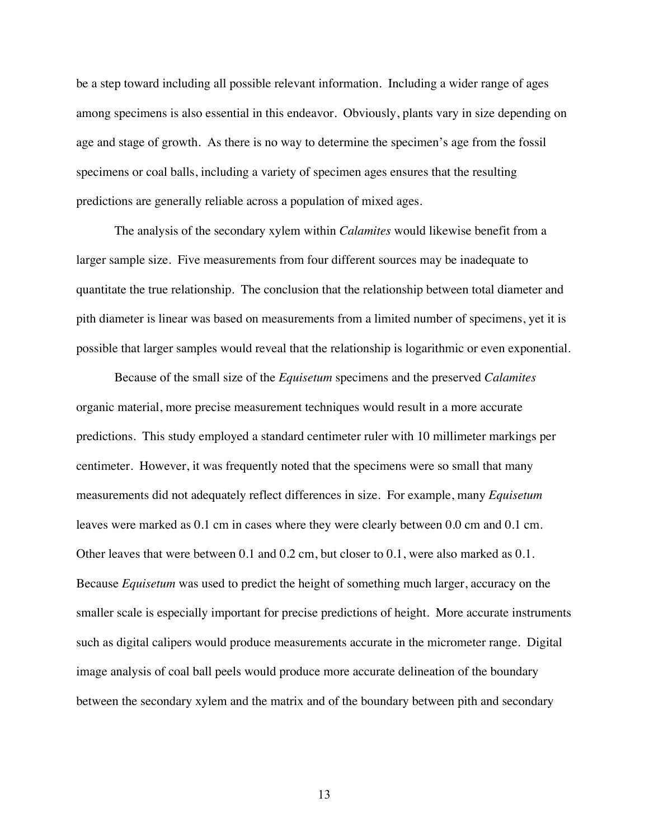be a step toward including all possible relevant information. Including a wider range of ages among specimens is also essential in this endeavor. Obviously, plants vary in size depending on age and stage of growth. As there is no way to determine the specimen's age from the fossil specimens or coal balls, including a variety of specimen ages ensures that the resulting predictions are generally reliable across a population of mixed ages.

The analysis of the secondary xylem within *Calamites* would likewise benefit from a larger sample size. Five measurements from four different sources may be inadequate to quantitate the true relationship. The conclusion that the relationship between total diameter and pith diameter is linear was based on measurements from a limited number of specimens, yet it is possible that larger samples would reveal that the relationship is logarithmic or even exponential.

Because of the small size of the *Equisetum* specimens and the preserved *Calamites* organic material, more precise measurement techniques would result in a more accurate predictions. This study employed a standard centimeter ruler with 10 millimeter markings per centimeter. However, it was frequently noted that the specimens were so small that many measurements did not adequately reflect differences in size. For example, many *Equisetum* leaves were marked as 0.1 cm in cases where they were clearly between 0.0 cm and 0.1 cm. Other leaves that were between 0.1 and 0.2 cm, but closer to 0.1, were also marked as 0.1. Because *Equisetum* was used to predict the height of something much larger, accuracy on the smaller scale is especially important for precise predictions of height. More accurate instruments such as digital calipers would produce measurements accurate in the micrometer range. Digital image analysis of coal ball peels would produce more accurate delineation of the boundary between the secondary xylem and the matrix and of the boundary between pith and secondary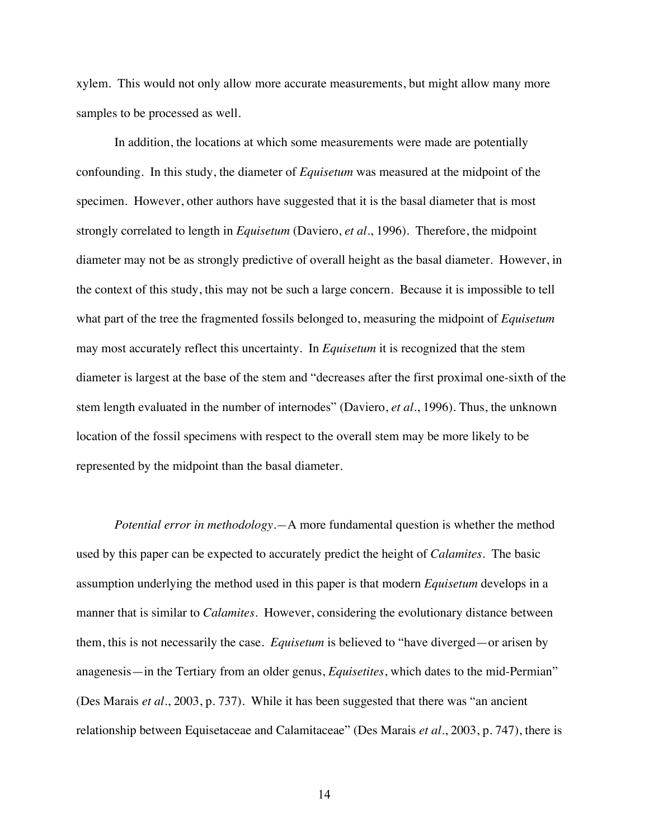xylem. This would not only allow more accurate measurements, but might allow many more samples to be processed as well.

In addition, the locations at which some measurements were made are potentially confounding. In this study, the diameter of *Equisetum* was measured at the midpoint of the specimen. However, other authors have suggested that it is the basal diameter that is most strongly correlated to length in *Equisetum* (Daviero, *et al.*, 1996). Therefore, the midpoint diameter may not be as strongly predictive of overall height as the basal diameter. However, in the context of this study, this may not be such a large concern. Because it is impossible to tell what part of the tree the fragmented fossils belonged to, measuring the midpoint of *Equisetum* may most accurately reflect this uncertainty. In *Equisetum* it is recognized that the stem diameter is largest at the base of the stem and "decreases after the first proximal one-sixth of the stem length evaluated in the number of internodes" (Daviero, *et al.*, 1996). Thus, the unknown location of the fossil specimens with respect to the overall stem may be more likely to be represented by the midpoint than the basal diameter.

*Potential error in methodology.—*A more fundamental question is whether the method used by this paper can be expected to accurately predict the height of *Calamites*. The basic assumption underlying the method used in this paper is that modern *Equisetum* develops in a manner that is similar to *Calamites*. However, considering the evolutionary distance between them, this is not necessarily the case. *Equisetum* is believed to "have diverged—or arisen by anagenesis—in the Tertiary from an older genus, *Equisetites*, which dates to the mid-Permian" (Des Marais *et al*., 2003, p. 737). While it has been suggested that there was "an ancient relationship between Equisetaceae and Calamitaceae" (Des Marais *et al.*, 2003, p. 747), there is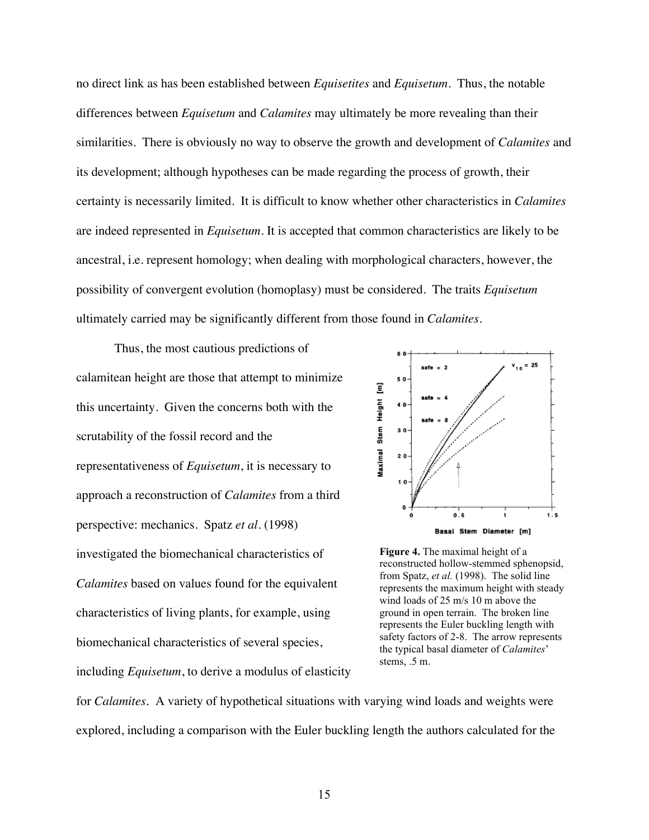no direct link as has been established between *Equisetites* and *Equisetum*. Thus, the notable differences between *Equisetum* and *Calamites* may ultimately be more revealing than their similarities. There is obviously no way to observe the growth and development of *Calamites* and its development; although hypotheses can be made regarding the process of growth, their certainty is necessarily limited. It is difficult to know whether other characteristics in *Calamites* are indeed represented in *Equisetum*. It is accepted that common characteristics are likely to be ancestral, i.e. represent homology; when dealing with morphological characters, however, the possibility of convergent evolution (homoplasy) must be considered. The traits *Equisetum* ultimately carried may be significantly different from those found in *Calamites*.

Thus, the most cautious predictions of calamitean height are those that attempt to minimize this uncertainty. Given the concerns both with the scrutability of the fossil record and the representativeness of *Equisetum*, it is necessary to approach a reconstruction of *Calamites* from a third perspective: mechanics. Spatz *et al.* (1998) investigated the biomechanical characteristics of *Calamites* based on values found for the equivalent characteristics of living plants, for example, using biomechanical characteristics of several species,

including *Equisetum*, to derive a modulus of elasticity



**Figure 4.** The maximal height of a reconstructed hollow-stemmed sphenopsid, from Spatz, *et al.* (1998). The solid line represents the maximum height with steady wind loads of 25 m/s 10 m above the ground in open terrain. The broken line represents the Euler buckling length with safety factors of 2-8. The arrow represents the typical basal diameter of *Calamites*' stems, .5 m.

for *Calamites*. A variety of hypothetical situations with varying wind loads and weights were explored, including a comparison with the Euler buckling length the authors calculated for the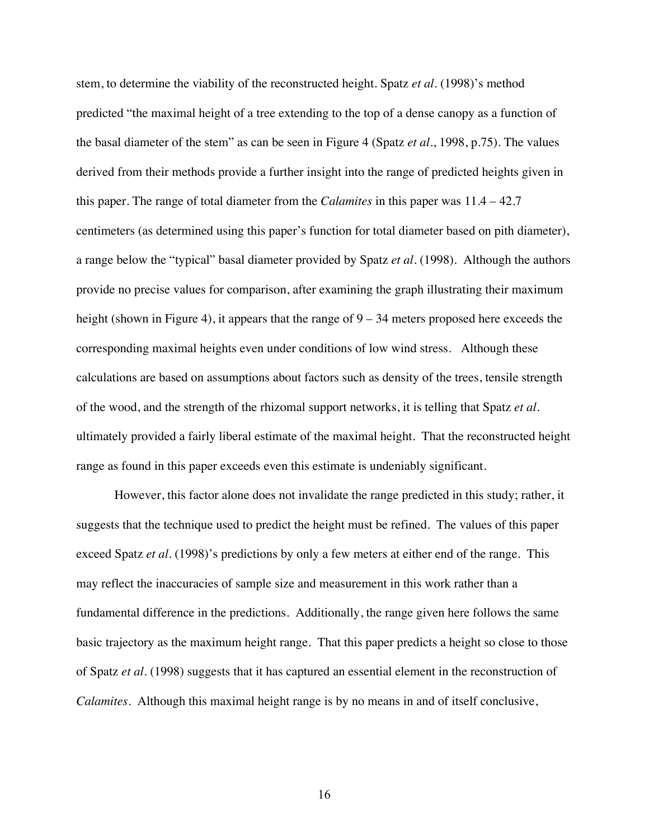stem, to determine the viability of the reconstructed height. Spatz *et al.* (1998)'s method predicted "the maximal height of a tree extending to the top of a dense canopy as a function of the basal diameter of the stem" as can be seen in Figure 4 (Spatz *et al.*, 1998, p.75). The values derived from their methods provide a further insight into the range of predicted heights given in this paper. The range of total diameter from the *Calamites* in this paper was 11.4 – 42.7 centimeters (as determined using this paper's function for total diameter based on pith diameter), a range below the "typical" basal diameter provided by Spatz *et al*. (1998). Although the authors provide no precise values for comparison, after examining the graph illustrating their maximum height (shown in Figure 4), it appears that the range of  $9 - 34$  meters proposed here exceeds the corresponding maximal heights even under conditions of low wind stress. Although these calculations are based on assumptions about factors such as density of the trees, tensile strength of the wood, and the strength of the rhizomal support networks, it is telling that Spatz *et al.* ultimately provided a fairly liberal estimate of the maximal height. That the reconstructed height range as found in this paper exceeds even this estimate is undeniably significant.

However, this factor alone does not invalidate the range predicted in this study; rather, it suggests that the technique used to predict the height must be refined. The values of this paper exceed Spatz *et al.* (1998)'s predictions by only a few meters at either end of the range. This may reflect the inaccuracies of sample size and measurement in this work rather than a fundamental difference in the predictions. Additionally, the range given here follows the same basic trajectory as the maximum height range. That this paper predicts a height so close to those of Spatz *et al*. (1998) suggests that it has captured an essential element in the reconstruction of *Calamites*. Although this maximal height range is by no means in and of itself conclusive,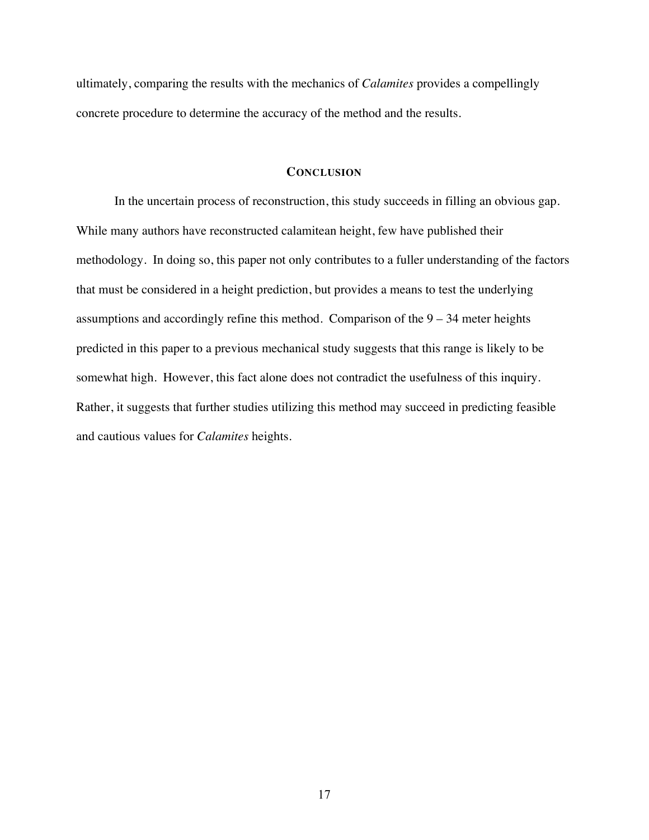ultimately, comparing the results with the mechanics of *Calamites* provides a compellingly concrete procedure to determine the accuracy of the method and the results.

# **CONCLUSION**

In the uncertain process of reconstruction, this study succeeds in filling an obvious gap. While many authors have reconstructed calamitean height, few have published their methodology. In doing so, this paper not only contributes to a fuller understanding of the factors that must be considered in a height prediction, but provides a means to test the underlying assumptions and accordingly refine this method. Comparison of the  $9 - 34$  meter heights predicted in this paper to a previous mechanical study suggests that this range is likely to be somewhat high. However, this fact alone does not contradict the usefulness of this inquiry. Rather, it suggests that further studies utilizing this method may succeed in predicting feasible and cautious values for *Calamites* heights.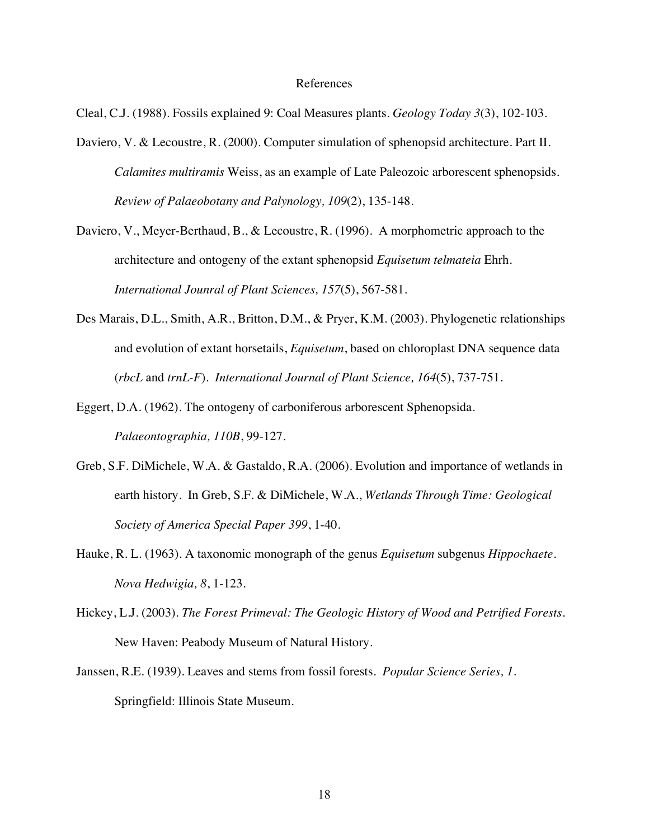## References

Cleal, C.J. (1988). Fossils explained 9: Coal Measures plants. *Geology Today 3*(3), 102-103.

- Daviero, V. & Lecoustre, R. (2000). Computer simulation of sphenopsid architecture. Part II. *Calamites multiramis* Weiss, as an example of Late Paleozoic arborescent sphenopsids. *Review of Palaeobotany and Palynology, 109*(2), 135-148.
- Daviero, V., Meyer-Berthaud, B., & Lecoustre, R. (1996). A morphometric approach to the architecture and ontogeny of the extant sphenopsid *Equisetum telmateia* Ehrh. *International Jounral of Plant Sciences, 157*(5), 567-581.
- Des Marais, D.L., Smith, A.R., Britton, D.M., & Pryer, K.M. (2003). Phylogenetic relationships and evolution of extant horsetails, *Equisetum*, based on chloroplast DNA sequence data (*rbcL* and *trnL-F*). *International Journal of Plant Science, 164*(5), 737-751.
- Eggert, D.A. (1962). The ontogeny of carboniferous arborescent Sphenopsida. *Palaeontographia, 110B*, 99-127.
- Greb, S.F. DiMichele, W.A. & Gastaldo, R.A. (2006). Evolution and importance of wetlands in earth history. In Greb, S.F. & DiMichele, W.A., *Wetlands Through Time: Geological Society of America Special Paper 399*, 1-40.
- Hauke, R. L. (1963). A taxonomic monograph of the genus *Equisetum* subgenus *Hippochaete*. *Nova Hedwigia, 8*, 1-123.
- Hickey, L.J. (2003). *The Forest Primeval: The Geologic History of Wood and Petrified Forests.* New Haven: Peabody Museum of Natural History.
- Janssen, R.E. (1939). Leaves and stems from fossil forests. *Popular Science Series, 1*. Springfield: Illinois State Museum.